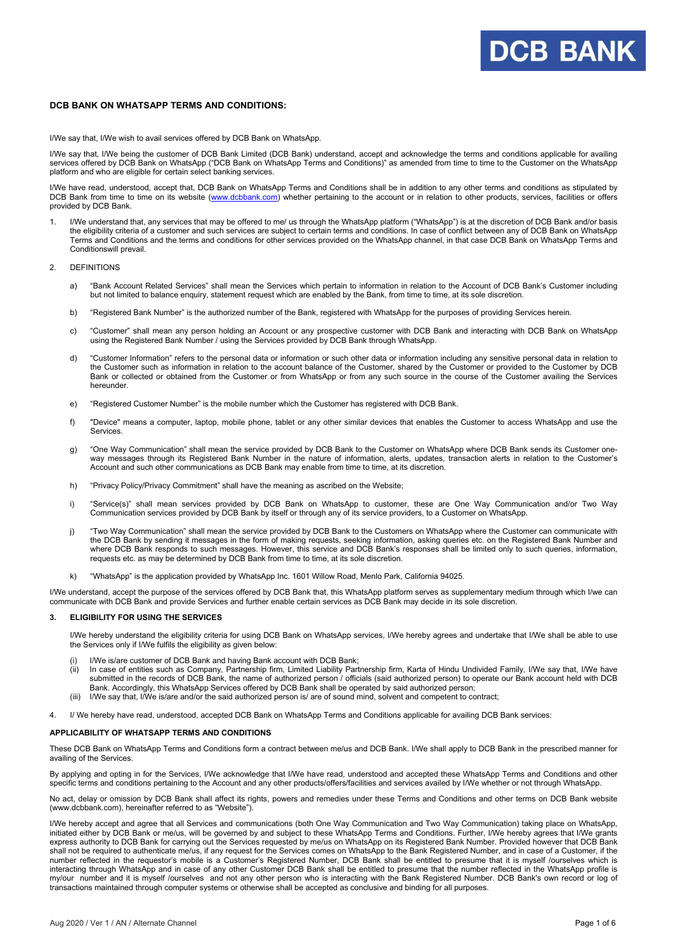## **DCB BANK ON WHATSAPP TERMS AND CONDITIONS:**

I/We say that, I/We wish to avail services offered by DCB Bank on WhatsApp.

I/We say that, I/We being the customer of DCB Bank Limited (DCB Bank) understand, accept and acknowledge the terms and conditions applicable for availing services offered by DCB Bank on WhatsApp ("DCB Bank on WhatsApp Terms and Conditions)" as amended from time to time to the Customer on the WhatsApp platform and who are eligible for certain select banking services.

I/We have read, understood, accept that, DCB Bank on WhatsApp Terms and Conditions shall be in addition to any other terms and conditions as stipulated by DCB Bank from time to time on its website [\(www.dcbbank.com\)](http://www.dcbbank.com/) whether pertaining to the account or in relation to other products, services, facilities or offers provided by DCB Bank.

1. I/We understand that, any services that may be offered to me/ us through the WhatsApp platform ("WhatsApp") is at the discretion of DCB Bank and/or basis the eligibility criteria of a customer and such services are subject to certain terms and conditions. In case of conflict between any of DCB Bank on WhatsApp Terms and Conditions and the terms and conditions for other services provided on the WhatsApp channel, in that case DCB Bank on WhatsApp Terms and Conditionswill prevail.

#### 2. DEFINITIONS

- a) "Bank Account Related Services" shall mean the Services which pertain to information in relation to the Account of DCB Bank's Customer including but not limited to balance enquiry, statement request which are enabled by the Bank, from time to time, at its sole discretion.
- b) "Registered Bank Number" is the authorized number of the Bank, registered with WhatsApp for the purposes of providing Services herein.
- c) "Customer" shall mean any person holding an Account or any prospective customer with DCB Bank and interacting with DCB Bank on WhatsApp using the Registered Bank Number / using the Services provided by DCB Bank through WhatsApp.
- d) "Customer Information" refers to the personal data or information or such other data or information including any sensitive personal data in relation to the Customer such as information in relation to the account balance of the Customer, shared by the Customer or provided to the Customer by DCB Bank or collected or obtained from the Customer or from WhatsApp or from any such source in the course of the Customer availing the Services hereunder.
- e) "Registered Customer Number" is the mobile number which the Customer has registered with DCB Bank.
- f) "Device" means a computer, laptop, mobile phone, tablet or any other similar devices that enables the Customer to access WhatsApp and use the Services.
- g) "One Way Communication" shall mean the service provided by DCB Bank to the Customer on WhatsApp where DCB Bank sends its Customer oneway messages through its Registered Bank Number in the nature of information, alerts, updates, transaction alerts in relation to the Customer's Account and such other communications as DCB Bank may enable from time to time, at its discretion.
- h) "Privacy Policy/Privacy Commitment" shall have the meaning as ascribed on the Website;
- i) "Service(s)" shall mean services provided by DCB Bank on WhatsApp to customer, these are One Way Communication and/or Two Way Communication services provided by DCB Bank by itself or through any of its service providers, to a Customer on WhatsApp.
- j) "Two Way Communication" shall mean the service provided by DCB Bank to the Customers on WhatsApp where the Customer can communicate with the DCB Bank by sending it messages in the form of making requests, seeking information, asking queries etc. on the Registered Bank Number and where DCB Bank responds to such messages. However, this service and DCB Bank's responses shall be limited only to such queries, information, requests etc. as may be determined by DCB Bank from time to time, at its sole discretion.
- k) "WhatsApp" is the application provided by WhatsApp Inc. 1601 Willow Road, Menlo Park, California 94025.

I/We understand, accept the purpose of the services offered by DCB Bank that, this WhatsApp platform serves as supplementary medium through which I/we can communicate with DCB Bank and provide Services and further enable certain services as DCB Bank may decide in its sole discretion.

## **3. ELIGIBILITY FOR USING THE SERVICES**

I/We hereby understand the eligibility criteria for using DCB Bank on WhatsApp services, I/We hereby agrees and undertake that I/We shall be able to use the Services only if I/We fulfils the eligibility as given below:

- I/We is/are customer of DCB Bank and having Bank account with DCB Bank;
- (ii) In case of entities such as Company, Partnership firm, Limited Liability Partnership firm, Karta of Hindu Undivided Family, I/We say that, I/We have submitted in the records of DCB Bank, the name of authorized person / officials (said authorized person) to operate our Bank account held with DCB Bank. Accordingly, this WhatsApp Services offered by DCB Bank shall be operated by said authorized person;
- (iii) I/We say that, I/We is/are and/or the said authorized person is/ are of sound mind, solvent and competent to contract;
- 4. I/ We hereby have read, understood, accepted DCB Bank on WhatsApp Terms and Conditions applicable for availing DCB Bank services:

#### **APPLICABILITY OF WHATSAPP TERMS AND CONDITIONS**

These DCB Bank on WhatsApp Terms and Conditions form a contract between me/us and DCB Bank. I/We shall apply to DCB Bank in the prescribed manner for availing of the Services.

By applying and opting in for the Services, I/We acknowledge that I/We have read, understood and accepted these WhatsApp Terms and Conditions and other specific terms and conditions pertaining to the Account and any other products/offers/facilities and services availed by I/We whether or not through WhatsApp.

No act, delay or omission by DCB Bank shall affect its rights, powers and remedies under these Terms and Conditions and other terms on DCB Bank website (www.dcbbank.com), hereinafter referred to as "Website").

I/We hereby accept and agree that all Services and communications (both One Way Communication and Two Way Communication) taking place on WhatsApp, initiated either by DCB Bank or me/us, will be governed by and subject to these WhatsApp Terms and Conditions. Further, I/We hereby agrees that I/We grants express authority to DCB Bank for carrying out the Services requested by me/us on WhatsApp on its Registered Bank Number. Provided however that DCB Bank shall not be required to authenticate me/us, if any request for the Services comes on WhatsApp to the Bank Registered Number, and in case of a Customer, if the number reflected in the requestor's mobile is a Customer's Registered Number, DCB Bank shall be entitled to presume that it is myself /ourselves which is interacting through WhatsApp and in case of any other Customer DCB Bank shall be entitled to presume that the number reflected in the WhatsApp profile is my/our number and it is myself /ourselves and not any other person who is interacting with the Bank Registered Number. DCB Bank's own record or log of transactions maintained through computer systems or otherwise shall be accepted as conclusive and binding for all purposes.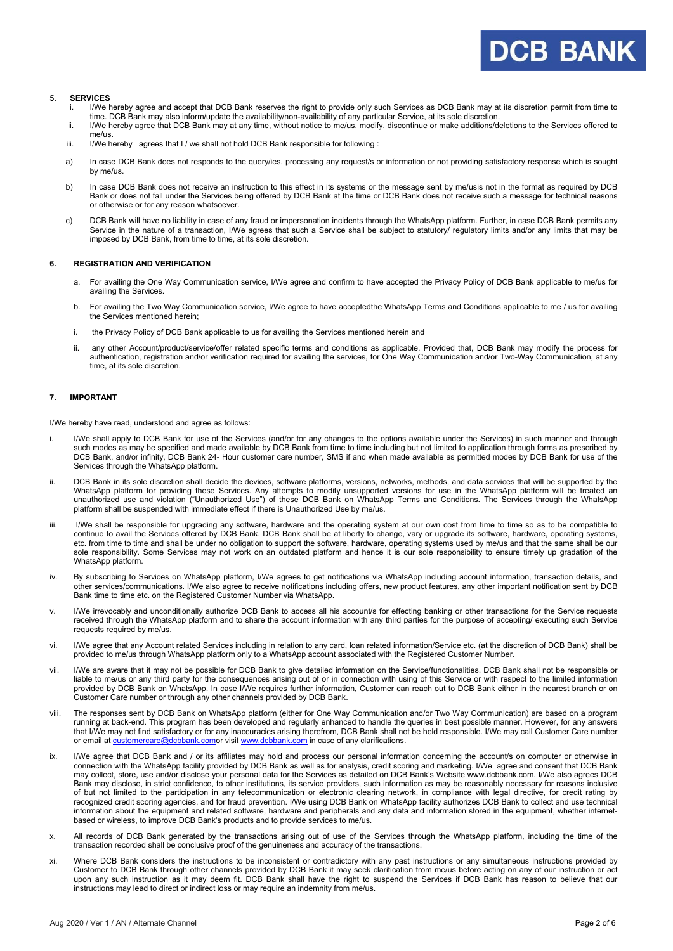#### **5. SERVICES**

- i. I/We hereby agree and accept that DCB Bank reserves the right to provide only such Services as DCB Bank may at its discretion permit from time to time. DCB Bank may also inform/update the availability/non-availability of any particular Service, at its sole discretion.
- ii. I/We hereby agree that DCB Bank may at any time, without notice to me/us, modify, discontinue or make additions/deletions to the Services offered to me/us.
- iii. I/We hereby agrees that I / we shall not hold DCB Bank responsible for following :
- a) In case DCB Bank does not responds to the query/ies, processing any request/s or information or not providing satisfactory response which is sought by me/us.
- b) In case DCB Bank does not receive an instruction to this effect in its systems or the message sent by me/usis not in the format as required by DCB Bank or does not fall under the Services being offered by DCB Bank at the time or DCB Bank does not receive such a message for technical reasons or otherwise or for any reason whatsoever.
- c) DCB Bank will have no liability in case of any fraud or impersonation incidents through the WhatsApp platform. Further, in case DCB Bank permits any Service in the nature of a transaction, I/We agrees that such a Service shall be subject to statutory/ regulatory limits and/or any limits that may be imposed by DCB Bank, from time to time, at its sole discretion.

#### **6. REGISTRATION AND VERIFICATION**

- a. For availing the One Way Communication service, I/We agree and confirm to have accepted the Privacy Policy of DCB Bank applicable to me/us for availing the Services.
- b. For availing the Two Way Communication service, I/We agree to have acceptedthe WhatsApp Terms and Conditions applicable to me / us for availing the Services mentioned herein;
- i. the Privacy Policy of DCB Bank applicable to us for availing the Services mentioned herein and
- ii. any other Account/product/service/offer related specific terms and conditions as applicable. Provided that, DCB Bank may modify the process for authentication, registration and/or verification required for availing the services, for One Way Communication and/or Two-Way Communication, at any time, at its sole discretion.

#### **7. IMPORTANT**

I/We hereby have read, understood and agree as follows:

- i. I/We shall apply to DCB Bank for use of the Services (and/or for any changes to the options available under the Services) in such manner and through such modes as may be specified and made available by DCB Bank from time to time including but not limited to application through forms as prescribed by DCB Bank, and/or infinity, DCB Bank 24- Hour customer care number, SMS if and when made available as permitted modes by DCB Bank for use of the Services through the WhatsApp platform.
- ii. DCB Bank in its sole discretion shall decide the devices, software platforms, versions, networks, methods, and data services that will be supported by the WhatsApp platform for providing these Services. Any attempts to modify unsupported versions for use in the WhatsApp platform will be treated an unauthorized use and violation ("Unauthorized Use") of these DCB Bank on WhatsApp Terms and Conditions. The Services through the WhatsApp platform shall be suspended with immediate effect if there is Unauthorized Use by me/us.
- iii. I/We shall be responsible for upgrading any software, hardware and the operating system at our own cost from time to time so as to be compatible to continue to avail the Services offered by DCB Bank. DCB Bank shall be at liberty to change, vary or upgrade its software, hardware, operating systems, etc. from time to time and shall be under no obligation to support the software, hardware, operating systems used by me/us and that the same shall be our sole responsibility. Some Services may not work on an outdated platform and hence it is our sole responsibility to ensure timely up gradation of the WhatsApp platform.
- iv. By subscribing to Services on WhatsApp platform, I/We agrees to get notifications via WhatsApp including account information, transaction details, and other services/communications. I/We also agree to receive notifications including offers, new product features, any other important notification sent by DCB Bank time to time etc. on the Registered Customer Number via WhatsApp.
- v. I/We irrevocably and unconditionally authorize DCB Bank to access all his account/s for effecting banking or other transactions for the Service requests received through the WhatsApp platform and to share the account information with any third parties for the purpose of accepting/ executing such Service requests required by me/us.
- vi. I/We agree that any Account related Services including in relation to any card, loan related information/Service etc. (at the discretion of DCB Bank) shall be provided to me/us through WhatsApp platform only to a WhatsApp account associated with the Registered Customer Number.
- vii. I/We are aware that it may not be possible for DCB Bank to give detailed information on the Service/functionalities. DCB Bank shall not be responsible or liable to me/us or any third party for the consequences arising out of or in connection with using of this Service or with respect to the limited information provided by DCB Bank on WhatsApp. In case I/We requires further information, Customer can reach out to DCB Bank either in the nearest branch or on Customer Care number or through any other channels provided by DCB Bank.
- viii. The responses sent by DCB Bank on WhatsApp platform (either for One Way Communication and/or Two Way Communication) are based on a program running at back-end. This program has been developed and regularly enhanced to handle the queries in best possible manner. However, for any answers that I/We may not find satisfactory or for any inaccuracies arising therefrom, DCB Bank shall not be held responsible. I/We may call Customer Care number or email a[t customercare@dcbbank.como](mailto:customercare@dcbbank.com)r visi[t www.dcbbank.com](http://www.dcbbank.com/) in case of any clarifications.
- ix. I/We agree that DCB Bank and / or its affiliates may hold and process our personal information concerning the account/s on computer or otherwise in connection with the WhatsApp facility provided by DCB Bank as well as for analysis, credit scoring and marketing. I/We agree and consent that DCB Bank may collect, store, use and/or disclose your personal data for the Services as detailed on DCB Bank's Website www.dcbbank.com. I/We also agrees DCB Bank may disclose, in strict confidence, to other institutions, its service providers, such information as may be reasonably necessary for reasons inclusive of but not limited to the participation in any telecommunication or electronic clearing network, in compliance with legal directive, for credit rating by recognized credit scoring agencies, and for fraud prevention. I/We using DCB Bank on WhatsApp facility authorizes DCB Bank to collect and use technical information about the equipment and related software, hardware and peripherals and any data and information stored in the equipment, whether internetbased or wireless, to improve DCB Bank's products and to provide services to me/us.
- x. All records of DCB Bank generated by the transactions arising out of use of the Services through the WhatsApp platform, including the time of the transaction recorded shall be conclusive proof of the genuineness and accuracy of the transactions.
- xi. Where DCB Bank considers the instructions to be inconsistent or contradictory with any past instructions or any simultaneous instructions provided by Customer to DCB Bank through other channels provided by DCB Bank it may seek clarification from me/us before acting on any of our instruction or act upon any such instruction as it may deem fit. DCB Bank shall have the right to suspend the Services if DCB Bank has reason to believe that our instructions may lead to direct or indirect loss or may require an indemnity from me/us.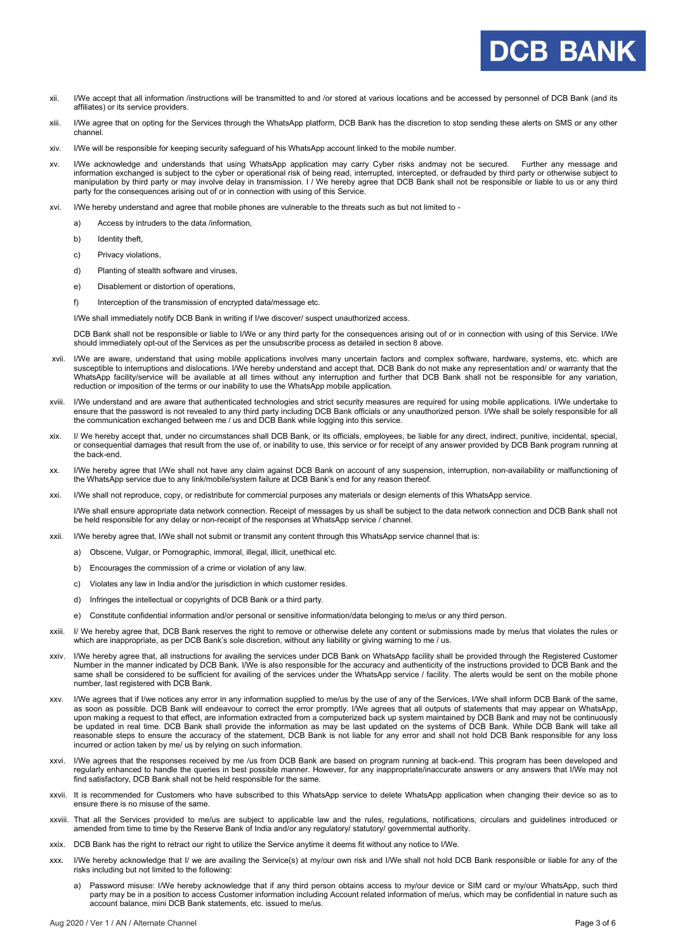- xii. I/We accept that all information /instructions will be transmitted to and /or stored at various locations and be accessed by personnel of DCB Bank (and its affiliates) or its service providers.
- xiii. I/We agree that on opting for the Services through the WhatsApp platform, DCB Bank has the discretion to stop sending these alerts on SMS or any other channel.
- xiv. I/We will be responsible for keeping security safeguard of his WhatsApp account linked to the mobile number.
- xv. I/We acknowledge and understands that using WhatsApp application may carry Cyber risks andmay not be secured. Further any message and information exchanged is subject to the cyber or operational risk of being read, interrupted, intercepted, or defrauded by third party or otherwise subject to manipulation by third party or may involve delay in transmission. I / We hereby agree that DCB Bank shall not be responsible or liable to us or any third party for the consequences arising out of or in connection with using of this Service.
- xvi. I/We hereby understand and agree that mobile phones are vulnerable to the threats such as but not limited to
	- a) Access by intruders to the data /information,
	- b) Identity theft.
	- c) Privacy violations,
	- d) Planting of stealth software and viruses,
	- e) Disablement or distortion of operations,
	- f) Interception of the transmission of encrypted data/message etc.

I/We shall immediately notify DCB Bank in writing if I/we discover/ suspect unauthorized access.

DCB Bank shall not be responsible or liable to I/We or any third party for the consequences arising out of or in connection with using of this Service. I/We should immediately opt-out of the Services as per the unsubscribe process as detailed in section 8 above.

- xvii. I/We are aware, understand that using mobile applications involves many uncertain factors and complex software, hardware, systems, etc. which are susceptible to interruptions and dislocations. I/We hereby understand and accept that, DCB Bank do not make any representation and/ or warranty that the WhatsApp facility/service will be available at all times without any interruption and further that DCB Bank shall not be responsible for any variation, reduction or imposition of the terms or our inability to use the WhatsApp mobile application.
- xviii. I/We understand and are aware that authenticated technologies and strict security measures are required for using mobile applications. I/We undertake to ensure that the password is not revealed to any third party including DCB Bank officials or any unauthorized person. I/We shall be solely responsible for all the communication exchanged between me / us and DCB Bank while logging into this service.
- xix. I/ We hereby accept that, under no circumstances shall DCB Bank, or its officials, employees, be liable for any direct, indirect, punitive, incidental, special, or consequential damages that result from the use of, or inability to use, this service or for receipt of any answer provided by DCB Bank program running at the back-end.
- xx. I/We hereby agree that I/We shall not have any claim against DCB Bank on account of any suspension, interruption, non-availability or malfunctioning of the WhatsApp service due to any link/mobile/system failure at DCB Bank's end for any reason thereof.
- xxi. I/We shall not reproduce, copy, or redistribute for commercial purposes any materials or design elements of this WhatsApp service.

I/We shall ensure appropriate data network connection. Receipt of messages by us shall be subject to the data network connection and DCB Bank shall not be held responsible for any delay or non-receipt of the responses at WhatsApp service / channel.

- xxii. I/We hereby agree that, I/We shall not submit or transmit any content through this WhatsApp service channel that is:
	- a) Obscene, Vulgar, or Pornographic, immoral, illegal, illicit, unethical etc.
	- b) Encourages the commission of a crime or violation of any law.
	- c) Violates any law in India and/or the jurisdiction in which customer resides.
	- d) Infringes the intellectual or copyrights of DCB Bank or a third party.
	- e) Constitute confidential information and/or personal or sensitive information/data belonging to me/us or any third person.
- xxiii. I/ We hereby agree that, DCB Bank reserves the right to remove or otherwise delete any content or submissions made by me/us that violates the rules or which are inappropriate, as per DCB Bank's sole discretion, without any liability or giving warning to me / us.
- xxiv. I/We hereby agree that, all instructions for availing the services under DCB Bank on WhatsApp facility shall be provided through the Registered Customer Number in the manner indicated by DCB Bank. I/We is also responsible for the accuracy and authenticity of the instructions provided to DCB Bank and the same shall be considered to be sufficient for availing of the services under the WhatsApp service / facility. The alerts would be sent on the mobile phone number, last registered with DCB Bank.
- xxv. I/We agrees that if I/we notices any error in any information supplied to me/us by the use of any of the Services, I/We shall inform DCB Bank of the same, as soon as possible. DCB Bank will endeavour to correct the error promptly. I/We agrees that all outputs of statements that may appear on WhatsApp, upon making a request to that effect, are information extracted from a computerized back up system maintained by DCB Bank and may not be continuously be updated in real time. DCB Bank shall provide the information as may be last updated on the systems of DCB Bank. While DCB Bank will take all reasonable steps to ensure the accuracy of the statement, DCB Bank is not liable for any error and shall not hold DCB Bank responsible for any loss incurred or action taken by me/ us by relying on such information.
- xxvi. I/We agrees that the responses received by me /us from DCB Bank are based on program running at back-end. This program has been developed and regularly enhanced to handle the queries in best possible manner. However, for any inappropriate/inaccurate answers or any answers that I/We may not find satisfactory, DCB Bank shall not be held responsible for the same.
- xxvii. It is recommended for Customers who have subscribed to this WhatsApp service to delete WhatsApp application when changing their device so as to ensure there is no misuse of the same.
- xxviii. That all the Services provided to me/us are subject to applicable law and the rules, regulations, notifications, circulars and guidelines introduced or amended from time to time by the Reserve Bank of India and/or any regulatory/ statutory/ governmental authority.
- xxix. DCB Bank has the right to retract our right to utilize the Service anytime it deems fit without any notice to I/We.
- xxx. I/We hereby acknowledge that I/ we are availing the Service(s) at my/our own risk and I/We shall not hold DCB Bank responsible or liable for any of the risks including but not limited to the following:
	- a) Password misuse: I/We hereby acknowledge that if any third person obtains access to my/our device or SIM card or my/our WhatsApp, such third party may be in a position to access Customer information including Account related information of me/us, which may be confidential in nature such as account balance, mini DCB Bank statements, etc. issued to me/us.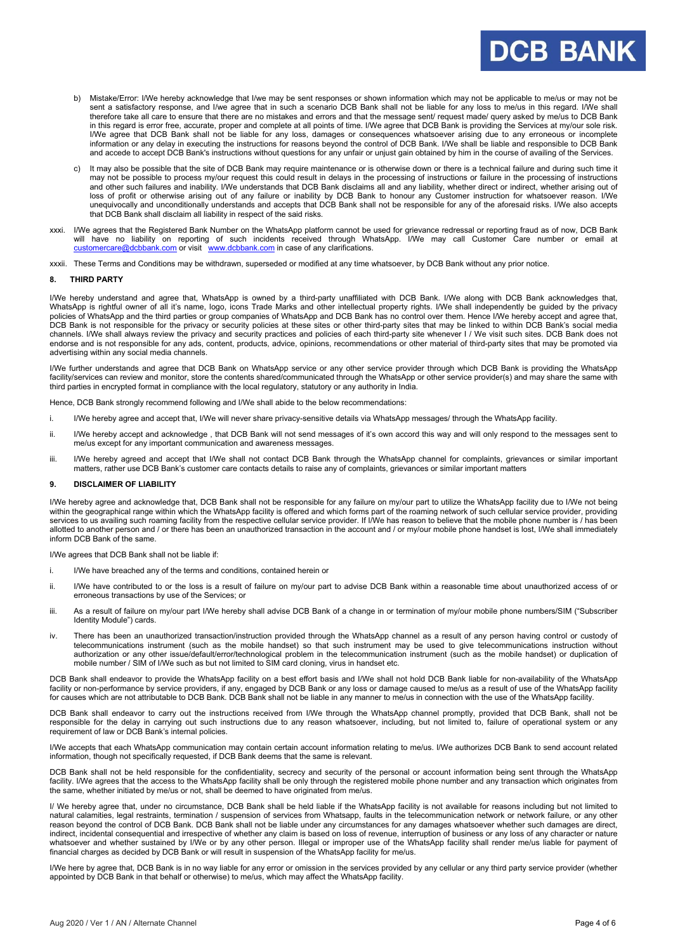- b) Mistake/Error: I/We hereby acknowledge that I/we may be sent responses or shown information which may not be applicable to me/us or may not be sent a satisfactory response, and I/we agree that in such a scenario DCB Bank shall not be liable for any loss to me/us in this regard. I/We shall therefore take all care to ensure that there are no mistakes and errors and that the message sent/ request made/ query asked by me/us to DCB Bank in this regard is error free, accurate, proper and complete at all points of time. I/We agree that DCB Bank is providing the Services at my/our sole risk. I/We agree that DCB Bank shall not be liable for any loss, damages or consequences whatsoever arising due to any erroneous or incomplete information or any delay in executing the instructions for reasons beyond the control of DCB Bank. I/We shall be liable and responsible to DCB Bank and accede to accept DCB Bank's instructions without questions for any unfair or unjust gain obtained by him in the course of availing of the Services.
- c) It may also be possible that the site of DCB Bank may require maintenance or is otherwise down or there is a technical failure and during such time it may not be possible to process my/our request this could result in delays in the processing of instructions or failure in the processing of instructions and other such failures and inability. I/We understands that DCB Bank disclaims all and any liability, whether direct or indirect, whether arising out of loss of profit or otherwise arising out of any failure or inability by DCB Bank to honour any Customer instruction for whatsoever reason. I/We unequivocally and unconditionally understands and accepts that DCB Bank shall not be responsible for any of the aforesaid risks. I/We also accepts that DCB Bank shall disclaim all liability in respect of the said risks.
- xxxi. I/We agrees that the Registered Bank Number on the WhatsApp platform cannot be used for grievance redressal or reporting fraud as of now, DCB Bank will have no liability on reporting of such incidents received through WhatsApp. I/We may call Customer Care number or email at [customercare@dcbbank.com](mailto:customercare@dcbbank.com) or visit [www.dcbbank.com](http://www.dcbbank.com/) in case of any clarifications.
- xxxii. These Terms and Conditions may be withdrawn, superseded or modified at any time whatsoever, by DCB Bank without any prior notice.

#### **8. THIRD PARTY**

I/We hereby understand and agree that, WhatsApp is owned by a third-party unaffiliated with DCB Bank. I/We along with DCB Bank acknowledges that, WhatsApp is rightful owner of all it's name, logo, icons Trade Marks and other intellectual property rights. I/We shall independently be guided by the privacy olicies of WhatsApp and the third parties or group companies of WhatsApp and DCB Bank has no control over them. Hence I/We hereby accept and agree that, DCB Bank is not responsible for the privacy or security policies at these sites or other third-party sites that may be linked to within DCB Bank's social media channels. I/We shall always review the privacy and security practices and policies of each third-party site whenever I / We visit such sites. DCB Bank does not endorse and is not responsible for any ads, content, products, advice, opinions, recommendations or other material of third-party sites that may be promoted via advertising within any social media channels.

I/We further understands and agree that DCB Bank on WhatsApp service or any other service provider through which DCB Bank is providing the WhatsApp facility/services can review and monitor, store the contents shared/communicated through the WhatsApp or other service provider(s) and may share the same with third parties in encrypted format in compliance with the local regulatory, statutory or any authority in India.

Hence, DCB Bank strongly recommend following and I/We shall abide to the below recommendations:

- i. I/We hereby agree and accept that, I/We will never share privacy-sensitive details via WhatsApp messages/ through the WhatsApp facility
- ii. I/We hereby accept and acknowledge , that DCB Bank will not send messages of it's own accord this way and will only respond to the messages sent to me/us except for any important communication and awareness messages.
- iii. I/We hereby agreed and accept that I/We shall not contact DCB Bank through the WhatsApp channel for complaints, grievances or similar important matters, rather use DCB Bank's customer care contacts details to raise any of complaints, grievances or similar important matters

#### **9. DISCLAIMER OF LIABILITY**

I/We hereby agree and acknowledge that, DCB Bank shall not be responsible for any failure on my/our part to utilize the WhatsApp facility due to I/We not being within the geographical range within which the WhatsApp facility is offered and which forms part of the roaming network of such cellular service provider, providing services to us availing such roaming facility from the respective cellular service provider. If I/We has reason to believe that the mobile phone number is / has been allotted to another person and / or there has been an unauthorized transaction in the account and / or my/our mobile phone handset is lost, I/We shall immediately inform DCB Bank of the same.

I/We agrees that DCB Bank shall not be liable if:

- i. I/We have breached any of the terms and conditions, contained herein or
- ii. I/We have contributed to or the loss is a result of failure on my/our part to advise DCB Bank within a reasonable time about unauthorized access of or erroneous transactions by use of the Services; or
- iii. As a result of failure on my/our part I/We hereby shall advise DCB Bank of a change in or termination of my/our mobile phone numbers/SIM ("Subscriber Identity Module") cards.
- iv. There has been an unauthorized transaction/instruction provided through the WhatsApp channel as a result of any person having control or custody of telecommunications instrument (such as the mobile handset) so that such instrument may be used to give telecommunications instruction without authorization or any other issue/default/error/technological problem in the telecommunication instrument (such as the mobile handset) or duplication of mobile number / SIM of I/We such as but not limited to SIM card cloning, virus in handset etc.

DCB Bank shall endeavor to provide the WhatsApp facility on a best effort basis and I/We shall not hold DCB Bank liable for non-availability of the WhatsApp facility or non-performance by service providers, if any, engaged by DCB Bank or any loss or damage caused to me/us as a result of use of the WhatsApp facility for causes which are not attributable to DCB Bank. DCB Bank shall not be liable in any manner to me/us in connection with the use of the WhatsApp facility.

DCB Bank shall endeavor to carry out the instructions received from I/We through the WhatsApp channel promptly, provided that DCB Bank, shall not be responsible for the delay in carrying out such instructions due to any reason whatsoever, including, but not limited to, failure of operational system or any requirement of law or DCB Bank's internal policies.

I/We accepts that each WhatsApp communication may contain certain account information relating to me/us. I/We authorizes DCB Bank to send account related information, though not specifically requested, if DCB Bank deems that the same is relevant.

DCB Bank shall not be held responsible for the confidentiality, secrecy and security of the personal or account information being sent through the WhatsApp facility. I/We agrees that the access to the WhatsApp facility shall be only through the registered mobile phone number and any transaction which originates from the same, whether initiated by me/us or not, shall be deemed to have originated from me/us.

I/ We hereby agree that, under no circumstance, DCB Bank shall be held liable if the WhatsApp facility is not available for reasons including but not limited to natural calamities, legal restraints, termination / suspension of services from Whatsapp, faults in the telecommunication network or network failure, or any other reason beyond the control of DCB Bank. DCB Bank shall not be liable under any circumstances for any damages whatsoever whether such damages are direct, indirect, incidental consequential and irrespective of whether any claim is based on loss of revenue, interruption of business or any loss of any character or nature whatsoever and whether sustained by I/We or by any other person. Illegal or improper use of the WhatsApp facility shall render me/us liable for payment of financial charges as decided by DCB Bank or will result in suspension of the WhatsApp facility for me/us.

I/We here by agree that, DCB Bank is in no way liable for any error or omission in the services provided by any cellular or any third party service provider (whether appointed by DCB Bank in that behalf or otherwise) to me/us, which may affect the WhatsApp facility.

**DCB BANK**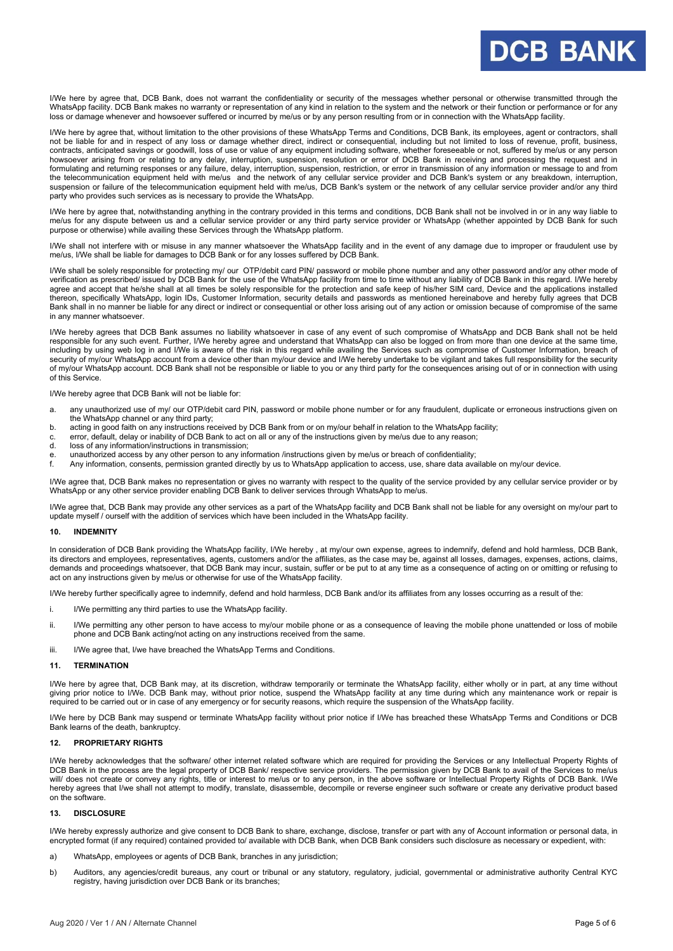I/We here by agree that, DCB Bank, does not warrant the confidentiality or security of the messages whether personal or otherwise transmitted through the WhatsApp facility. DCB Bank makes no warranty or representation of any kind in relation to the system and the network or their function or performance or for any loss or damage whenever and howsoever suffered or incurred by me/us or by any person resulting from or in connection with the WhatsApp facility.

I/We here by agree that, without limitation to the other provisions of these WhatsApp Terms and Conditions, DCB Bank, its employees, agent or contractors, shall not be liable for and in respect of any loss or damage whether direct, indirect or consequential, including but not limited to loss of revenue, profit, business, contracts, anticipated savings or goodwill, loss of use or value of any equipment including software, whether foreseeable or not, suffered by me/us or any person howsoever arising from or relating to any delay, interruption, suspension, resolution or error of DCB Bank in receiving and processing the request and in formulating and returning responses or any failure, delay, interruption, suspension, restriction, or error in transmission of any information or message to and from the telecommunication equipment held with me/us and the network of any cellular service provider and DCB Bank's system or any breakdown, interruption, suspension or failure of the telecommunication equipment held with me/us, DCB Bank's system or the network of any cellular service provider and/or any third party who provides such services as is necessary to provide the WhatsApp.

I/We here by agree that, notwithstanding anything in the contrary provided in this terms and conditions, DCB Bank shall not be involved in or in any way liable to me/us for any dispute between us and a cellular service provider or any third party service provider or WhatsApp (whether appointed by DCB Bank for such purpose or otherwise) while availing these Services through the WhatsApp platform.

I/We shall not interfere with or misuse in any manner whatsoever the WhatsApp facility and in the event of any damage due to improper or fraudulent use by me/us, I/We shall be liable for damages to DCB Bank or for any losses suffered by DCB Bank.

I/We shall be solely responsible for protecting my/ our OTP/debit card PIN/ password or mobile phone number and any other password and/or any other mode of verification as prescribed/ issued by DCB Bank for the use of the WhatsApp facility from time to time without any liability of DCB Bank in this regard. I/We hereby agree and accept that he/she shall at all times be solely responsible for the protection and safe keep of his/her SIM card, Device and the applications installed thereon, specifically WhatsApp, login IDs, Customer Information, security details and passwords as mentioned hereinabove and hereby fully agrees that DCB Bank shall in no manner be liable for any direct or indirect or consequential or other loss arising out of any action or omission because of compromise of the same in any manner whatsoever.

I/We hereby agrees that DCB Bank assumes no liability whatsoever in case of any event of such compromise of WhatsApp and DCB Bank shall not be held responsible for any such event. Further, I/We hereby agree and understand that WhatsApp can also be logged on from more than one device at the same time, including by using web log in and I/We is aware of the risk in this regard while availing the Services such as compromise of Customer Information, breach of security of my/our WhatsApp account from a device other than my/our device and I/We hereby undertake to be vigilant and takes full responsibility for the security of my/our WhatsApp account. DCB Bank shall not be responsible or liable to you or any third party for the consequences arising out of or in connection with using of this Service.

I/We hereby agree that DCB Bank will not be liable for:

- a. any unauthorized use of my/ our OTP/debit card PIN, password or mobile phone number or for any fraudulent, duplicate or erroneous instructions given on the WhatsApp channel or any third party;
- b. acting in good faith on any instructions received by DCB Bank from or on my/our behalf in relation to the WhatsApp facility;
- c. error, default, delay or inability of DCB Bank to act on all or any of the instructions given by me/us due to any reason;
- loss of any information/instructions in transmission;
- e. unauthorized access by any other person to any information /instructions given by me/us or breach of confidentiality; f. Any information, consents, permission granted directly by us to WhatsApp application to access, use, share data available on my/our device.
- 

I/We agree that, DCB Bank makes no representation or gives no warranty with respect to the quality of the service provided by any cellular service provider or by WhatsApp or any other service provider enabling DCB Bank to deliver services through WhatsApp to me/us.

I/We agree that, DCB Bank may provide any other services as a part of the WhatsApp facility and DCB Bank shall not be liable for any oversight on my/our part to update myself / ourself with the addition of services which have been included in the WhatsApp facility.

#### **10. INDEMNITY**

In consideration of DCB Bank providing the WhatsApp facility, I/We hereby , at my/our own expense, agrees to indemnify, defend and hold harmless, DCB Bank, its directors and employees, representatives, agents, customers and/or the affiliates, as the case may be, against all losses, damages, expenses, actions, claims, demands and proceedings whatsoever, that DCB Bank may incur, sustain, suffer or be put to at any time as a consequence of acting on or omitting or refusing to act on any instructions given by me/us or otherwise for use of the WhatsApp facility.

I/We hereby further specifically agree to indemnify, defend and hold harmless, DCB Bank and/or its affiliates from any losses occurring as a result of the:

- i. I/We permitting any third parties to use the WhatsApp facility.
- ii. I/We permitting any other person to have access to my/our mobile phone or as a consequence of leaving the mobile phone unattended or loss of mobile phone and DCB Bank acting/not acting on any instructions received from the same.
- iii. I/We agree that, I/we have breached the WhatsApp Terms and Conditions.

#### **11. TERMINATION**

I/We here by agree that, DCB Bank may, at its discretion, withdraw temporarily or terminate the WhatsApp facility, either wholly or in part, at any time without giving prior notice to I/We. DCB Bank may, without prior notice, suspend the WhatsApp facility at any time during which any maintenance work or repair is required to be carried out or in case of any emergency or for security reasons, which require the suspension of the WhatsApp facility.

I/We here by DCB Bank may suspend or terminate WhatsApp facility without prior notice if I/We has breached these WhatsApp Terms and Conditions or DCB Bank learns of the death, bankruptcy.

#### **12. PROPRIETARY RIGHTS**

I/We hereby acknowledges that the software/ other internet related software which are required for providing the Services or any Intellectual Property Rights of DCB Bank in the process are the legal property of DCB Bank/ respective service providers. The permission given by DCB Bank to avail of the Services to me/us will/ does not create or convey any rights, title or interest to me/us or to any person, in the above software or Intellectual Property Rights of DCB Bank. I/We hereby agrees that I/we shall not attempt to modify, translate, disassemble, decompile or reverse engineer such software or create any derivative product based on the software.

#### **13. DISCLOSURE**

I/We hereby expressly authorize and give consent to DCB Bank to share, exchange, disclose, transfer or part with any of Account information or personal data, in encrypted format (if any required) contained provided to/ available with DCB Bank, when DCB Bank considers such disclosure as necessary or expedient, with:

- a) WhatsApp, employees or agents of DCB Bank, branches in any jurisdiction;
- b) Auditors, any agencies/credit bureaus, any court or tribunal or any statutory, regulatory, judicial, governmental or administrative authority Central KYC registry, having jurisdiction over DCB Bank or its branches;

**DCB BANK**